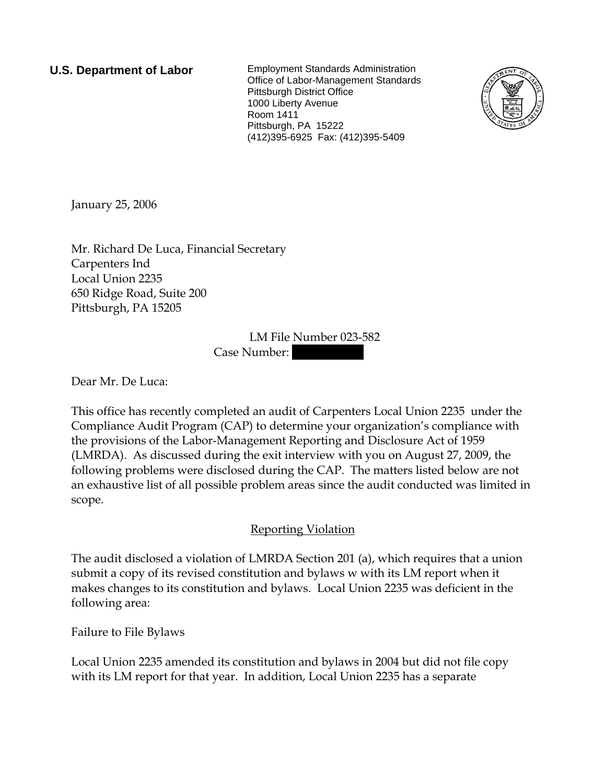**U.S. Department of Labor** Employment Standards Administration Office of Labor-Management Standards Pittsburgh District Office 1000 Liberty Avenue Room 1411 Pittsburgh, PA 15222 (412)395-6925 Fax: (412)395-5409



January 25, 2006

Mr. Richard De Luca, Financial Secretary Carpenters Ind Local Union 2235 650 Ridge Road, Suite 200 Pittsburgh, PA 15205

> LM File Number 023-582 Case Number:

Dear Mr. De Luca:

This office has recently completed an audit of Carpenters Local Union 2235 under the Compliance Audit Program (CAP) to determine your organization's compliance with the provisions of the Labor-Management Reporting and Disclosure Act of 1959 (LMRDA). As discussed during the exit interview with you on August 27, 2009, the following problems were disclosed during the CAP. The matters listed below are not an exhaustive list of all possible problem areas since the audit conducted was limited in scope.

## Reporting Violation

The audit disclosed a violation of LMRDA Section 201 (a), which requires that a union submit a copy of its revised constitution and bylaws w with its LM report when it makes changes to its constitution and bylaws. Local Union 2235 was deficient in the following area:

Failure to File Bylaws

Local Union 2235 amended its constitution and bylaws in 2004 but did not file copy with its LM report for that year. In addition, Local Union 2235 has a separate